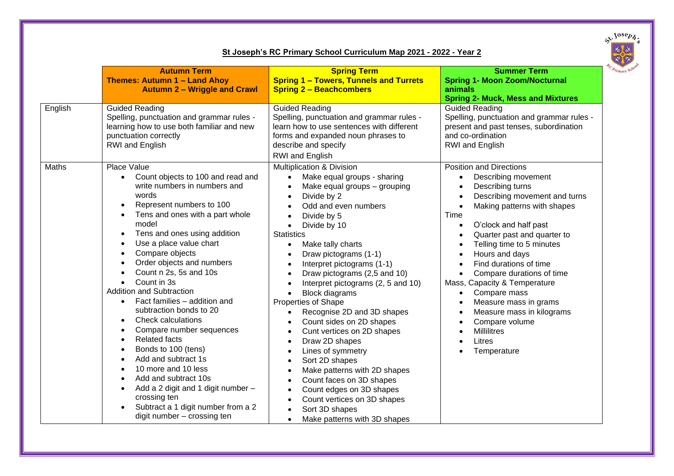

## **St Joseph's RC Primary School Curriculum Map 2021 - 2022 - Year 2**

|         | <b>Autumn Term</b><br><b>Themes: Autumn 1 - Land Ahoy</b><br><b>Autumn 2 - Wriggle and Crawl</b>                                                                                                                                                                                                                                                                                                                                                                                                                                                                                                                                                                                                                                          | <b>Spring Term</b><br><b>Spring 1 - Towers, Tunnels and Turrets</b><br><b>Spring 2 - Beachcombers</b>                                                                                                                                                                                                                                                                                                                                                                                                                                                                                                                                                                                                                                                                      | <b>Summer Term</b><br><b>Spring 1- Moon Zoom/Nocturnal</b><br>animals<br><b>Spring 2- Muck, Mess and Mixtures</b>                                                                                                                                                                                                                                                                                                                                                                                                                                                                                                                                                                                      |
|---------|-------------------------------------------------------------------------------------------------------------------------------------------------------------------------------------------------------------------------------------------------------------------------------------------------------------------------------------------------------------------------------------------------------------------------------------------------------------------------------------------------------------------------------------------------------------------------------------------------------------------------------------------------------------------------------------------------------------------------------------------|----------------------------------------------------------------------------------------------------------------------------------------------------------------------------------------------------------------------------------------------------------------------------------------------------------------------------------------------------------------------------------------------------------------------------------------------------------------------------------------------------------------------------------------------------------------------------------------------------------------------------------------------------------------------------------------------------------------------------------------------------------------------------|--------------------------------------------------------------------------------------------------------------------------------------------------------------------------------------------------------------------------------------------------------------------------------------------------------------------------------------------------------------------------------------------------------------------------------------------------------------------------------------------------------------------------------------------------------------------------------------------------------------------------------------------------------------------------------------------------------|
| English | <b>Guided Reading</b><br>Spelling, punctuation and grammar rules -<br>learning how to use both familiar and new<br>punctuation correctly<br>RWI and English                                                                                                                                                                                                                                                                                                                                                                                                                                                                                                                                                                               | Guided Reading<br>Spelling, punctuation and grammar rules -<br>learn how to use sentences with different<br>forms and expanded noun phrases to<br>describe and specify<br><b>RWI</b> and English                                                                                                                                                                                                                                                                                                                                                                                                                                                                                                                                                                           | <b>Guided Reading</b><br>Spelling, punctuation and grammar rules -<br>present and past tenses, subordination<br>and co-ordination<br>RWI and English                                                                                                                                                                                                                                                                                                                                                                                                                                                                                                                                                   |
| Maths   | Place Value<br>Count objects to 100 and read and<br>write numbers in numbers and<br>words<br>Represent numbers to 100<br>Tens and ones with a part whole<br>model<br>Tens and ones using addition<br>Use a place value chart<br>Compare objects<br>Order objects and numbers<br>Count n 2s, 5s and 10s<br>Count in 3s<br><b>Addition and Subtraction</b><br>Fact families - addition and<br>subtraction bonds to 20<br><b>Check calculations</b><br>$\bullet$<br>Compare number sequences<br><b>Related facts</b><br>Bonds to 100 (tens)<br>Add and subtract 1s<br>10 more and 10 less<br>Add and subtract 10s<br>Add a 2 digit and 1 digit number -<br>crossing ten<br>Subtract a 1 digit number from a 2<br>digit number - crossing ten | Multiplication & Division<br>Make equal groups - sharing<br>Make equal groups - grouping<br>Divide by 2<br>Odd and even numbers<br>Divide by 5<br>Divide by 10<br>$\bullet$<br><b>Statistics</b><br>Make tally charts<br>$\bullet$<br>Draw pictograms (1-1)<br>Interpret pictograms (1-1)<br>Draw pictograms (2,5 and 10)<br>Interpret pictograms (2, 5 and 10)<br><b>Block diagrams</b><br><b>Properties of Shape</b><br>Recognise 2D and 3D shapes<br>Count sides on 2D shapes<br>Cunt vertices on 2D shapes<br>$\bullet$<br>Draw 2D shapes<br>Lines of symmetry<br>Sort 2D shapes<br>Make patterns with 2D shapes<br>Count faces on 3D shapes<br>Count edges on 3D shapes<br>Count vertices on 3D shapes<br>Sort 3D shapes<br>Make patterns with 3D shapes<br>$\bullet$ | <b>Position and Directions</b><br>Describing movement<br>$\bullet$<br>Describing turns<br>$\bullet$<br>Describing movement and turns<br>$\bullet$<br>Making patterns with shapes<br>$\bullet$<br>Time<br>O'clock and half past<br>$\bullet$<br>Quarter past and quarter to<br>$\bullet$<br>Telling time to 5 minutes<br>$\bullet$<br>Hours and days<br>$\bullet$<br>Find durations of time<br>$\bullet$<br>Compare durations of time<br>$\bullet$<br>Mass, Capacity & Temperature<br>Compare mass<br>$\bullet$<br>Measure mass in grams<br>$\bullet$<br>Measure mass in kilograms<br>$\bullet$<br>Compare volume<br>$\bullet$<br><b>Millilitres</b><br>$\bullet$<br>Litres<br>Temperature<br>$\bullet$ |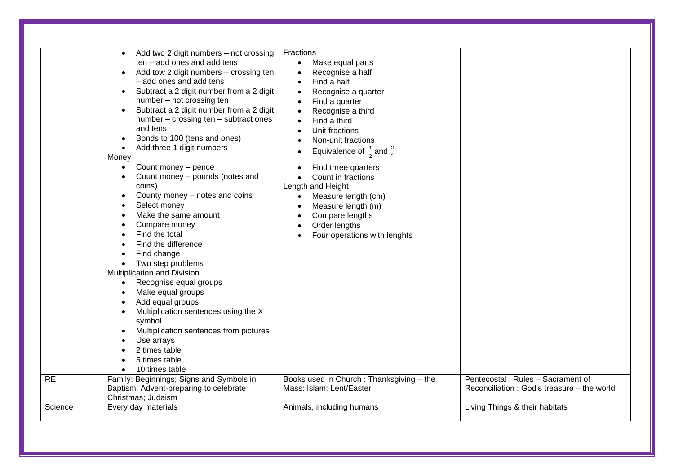| <b>RE</b> | Add two 2 digit numbers - not crossing<br>$\bullet$<br>ten - add ones and add tens<br>Add tow 2 digit numbers - crossing ten<br>$\bullet$<br>- add ones and add tens<br>Subtract a 2 digit number from a 2 digit<br>number - not crossing ten<br>Subtract a 2 digit number from a 2 digit<br>$\bullet$<br>number - crossing ten - subtract ones<br>and tens<br>Bonds to 100 (tens and ones)<br>٠<br>Add three 1 digit numbers<br>$\bullet$<br>Money<br>Count money - pence<br>$\bullet$<br>Count money - pounds (notes and<br>coins)<br>County money – notes and coins<br>Select money<br>Make the same amount<br>Compare money<br>Find the total<br>Find the difference<br>Find change<br>Two step problems<br>$\bullet$<br><b>Multiplication and Division</b><br>Recognise equal groups<br>$\bullet$<br>Make equal groups<br>Add equal groups<br>Multiplication sentences using the X<br>symbol<br>Multiplication sentences from pictures<br>Use arrays<br>2 times table<br>5 times table<br>10 times table<br>$\bullet$<br>Family: Beginnings; Signs and Symbols in | Fractions<br>Make equal parts<br>Recognise a half<br>Find a half<br>Recognise a quarter<br>٠<br>Find a quarter<br>Recognise a third<br>Find a third<br>Unit fractions<br>Non-unit fractions<br>Equivalence of $\frac{1}{3}$ and $\frac{2}{4}$<br>Find three quarters<br>Count in fractions<br>Length and Height<br>Measure length (cm)<br>Measure length (m)<br>Compare lengths<br>Order lengths<br>Four operations with lenghts<br>Books used in Church: Thanksgiving - the | Pentecostal: Rules - Sacrament of          |
|-----------|------------------------------------------------------------------------------------------------------------------------------------------------------------------------------------------------------------------------------------------------------------------------------------------------------------------------------------------------------------------------------------------------------------------------------------------------------------------------------------------------------------------------------------------------------------------------------------------------------------------------------------------------------------------------------------------------------------------------------------------------------------------------------------------------------------------------------------------------------------------------------------------------------------------------------------------------------------------------------------------------------------------------------------------------------------------------|------------------------------------------------------------------------------------------------------------------------------------------------------------------------------------------------------------------------------------------------------------------------------------------------------------------------------------------------------------------------------------------------------------------------------------------------------------------------------|--------------------------------------------|
|           | Baptism; Advent-preparing to celebrate<br>Christmas; Judaism                                                                                                                                                                                                                                                                                                                                                                                                                                                                                                                                                                                                                                                                                                                                                                                                                                                                                                                                                                                                           | Mass: Islam: Lent/Easter                                                                                                                                                                                                                                                                                                                                                                                                                                                     | Reconciliation: God's treasure – the world |
| Science   | Every day materials                                                                                                                                                                                                                                                                                                                                                                                                                                                                                                                                                                                                                                                                                                                                                                                                                                                                                                                                                                                                                                                    | Animals, including humans                                                                                                                                                                                                                                                                                                                                                                                                                                                    | Living Things & their habitats             |